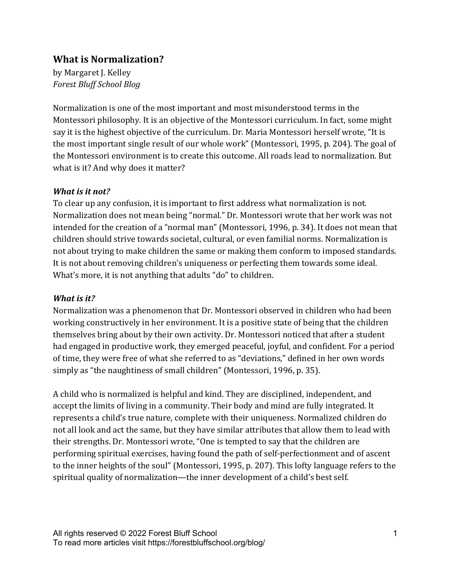# **What is Normalization?**

by Margaret J. Kelley *Forest Bluff School Blog*

Normalization is one of the most important and most misunderstood terms in the Montessori philosophy. It is an objective of the Montessori curriculum. In fact, some might say it is the highest objective of the curriculum. Dr. Maria Montessori herself wrote, "It is the most important single result of our whole work" (Montessori, 1995, p. 204). The goal of the Montessori environment is to create this outcome. All roads lead to normalization. But what is it? And why does it matter?

### *What is it not?*

To clear up any confusion, it is important to first address what normalization is not. Normalization does not mean being "normal." Dr. Montessori wrote that her work was not intended for the creation of a "normal man" (Montessori, 1996, p. 34). It does not mean that children should strive towards societal, cultural, or even familial norms. Normalization is not about trying to make children the same or making them conform to imposed standards. It is not about removing children's uniqueness or perfecting them towards some ideal. What's more, it is not anything that adults "do" to children.

### *What is it?*

Normalization was a phenomenon that Dr. Montessori observed in children who had been working constructively in her environment. It is a positive state of being that the children themselves bring about by their own activity. Dr. Montessori noticed that after a student had engaged in productive work, they emerged peaceful, joyful, and confident. For a period of time, they were free of what she referred to as "deviations," defined in her own words simply as "the naughtiness of small children" (Montessori, 1996, p. 35).

A child who is normalized is helpful and kind. They are disciplined, independent, and accept the limits of living in a community. Their body and mind are fully integrated. It represents a child's true nature, complete with their uniqueness. Normalized children do not all look and act the same, but they have similar attributes that allow them to lead with their strengths. Dr. Montessori wrote, "One is tempted to say that the children are performing spiritual exercises, having found the path of self-perfectionment and of ascent to the inner heights of the soul" (Montessori, 1995, p. 207). This lofty language refers to the spiritual quality of normalization—the inner development of a child's best self.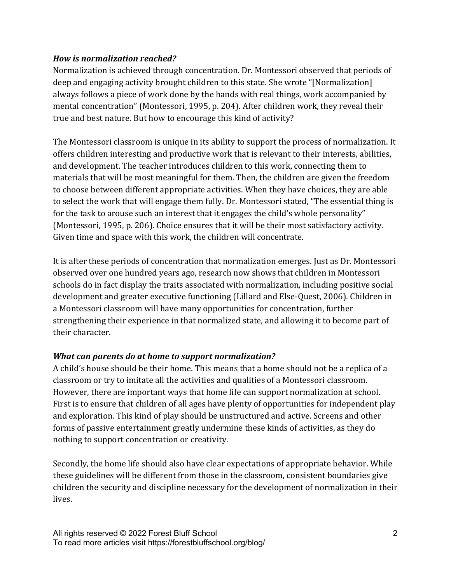### *How is normalization reached?*

Normalization is achieved through concentration. Dr. Montessori observed that periods of deep and engaging activity brought children to this state. She wrote "[Normalization] always follows a piece of work done by the hands with real things, work accompanied by mental concentration" (Montessori, 1995, p. 204). After children work, they reveal their true and best nature. But how to encourage this kind of activity?

The Montessori classroom is unique in its ability to support the process of normalization. It offers children interesting and productive work that is relevant to their interests, abilities, and development. The teacher introduces children to this work, connecting them to materials that will be most meaningful for them. Then, the children are given the freedom to choose between different appropriate activities. When they have choices, they are able to select the work that will engage them fully. Dr. Montessori stated, "The essential thing is for the task to arouse such an interest that it engages the child's whole personality" (Montessori, 1995, p. 206). Choice ensures that it will be their most satisfactory activity. Given time and space with this work, the children will concentrate.

It is after these periods of concentration that normalization emerges. Just as Dr. Montessori observed over one hundred years ago, research now shows that children in Montessori schools do in fact display the traits associated with normalization, including positive social development and greater executive functioning (Lillard and Else-Quest, 2006). Children in a Montessori classroom will have many opportunities for concentration, further strengthening their experience in that normalized state, and allowing it to become part of their character.

## **What can parents do at home to support normalization?**

A child's house should be their home. This means that a home should not be a replica of a classroom or try to imitate all the activities and qualities of a Montessori classroom. However, there are important ways that home life can support normalization at school. First is to ensure that children of all ages have plenty of opportunities for independent play and exploration. This kind of play should be unstructured and active. Screens and other forms of passive entertainment greatly undermine these kinds of activities, as they do nothing to support concentration or creativity.

Secondly, the home life should also have clear expectations of appropriate behavior. While these guidelines will be different from those in the classroom, consistent boundaries give children the security and discipline necessary for the development of normalization in their lives.